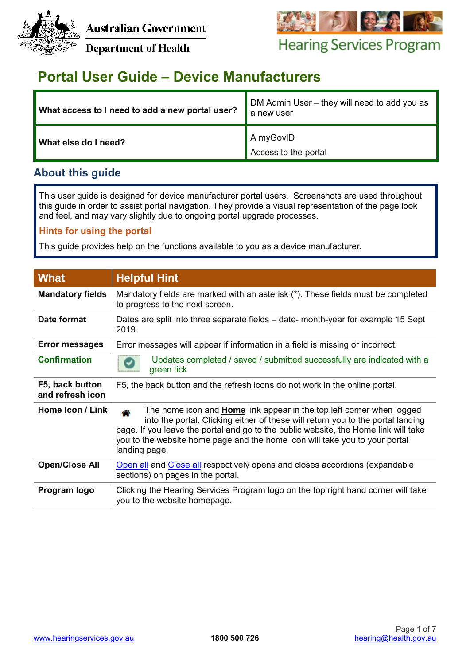



# **Hearing Services Program**

**Department of Health** 

# **Portal User Guide – Device Manufacturers**

| What access to I need to add a new portal user? | DM Admin User – they will need to add you as<br>a new user |
|-------------------------------------------------|------------------------------------------------------------|
| What else do I need?                            | A myGovID<br>Access to the portal                          |

## **About this guide**

This user guide is designed for device manufacturer portal users. Screenshots are used throughout this guide in order to assist portal navigation. They provide a visual representation of the page look and feel, and may vary slightly due to ongoing portal upgrade processes.

## **Hints for using the portal**

This guide provides help on the functions available to you as a device manufacturer.

| <b>What</b>                         | <b>Helpful Hint</b>                                                                                                                                                                                                                                                                                                                                         |
|-------------------------------------|-------------------------------------------------------------------------------------------------------------------------------------------------------------------------------------------------------------------------------------------------------------------------------------------------------------------------------------------------------------|
| <b>Mandatory fields</b>             | Mandatory fields are marked with an asterisk (*). These fields must be completed<br>to progress to the next screen.                                                                                                                                                                                                                                         |
| Date format                         | Dates are split into three separate fields – date- month-year for example 15 Sept<br>2019.                                                                                                                                                                                                                                                                  |
| <b>Error messages</b>               | Error messages will appear if information in a field is missing or incorrect.                                                                                                                                                                                                                                                                               |
| <b>Confirmation</b>                 | Updates completed / saved / submitted successfully are indicated with a<br>green tick                                                                                                                                                                                                                                                                       |
| F5, back button<br>and refresh icon | F5, the back button and the refresh icons do not work in the online portal.                                                                                                                                                                                                                                                                                 |
| Home Icon / Link                    | The home icon and <b>Home</b> link appear in the top left corner when logged<br>≪<br>into the portal. Clicking either of these will return you to the portal landing<br>page. If you leave the portal and go to the public website, the Home link will take<br>you to the website home page and the home icon will take you to your portal<br>landing page. |
| <b>Open/Close All</b>               | Open all and Close all respectively opens and closes accordions (expandable<br>sections) on pages in the portal.                                                                                                                                                                                                                                            |
| Program logo                        | Clicking the Hearing Services Program logo on the top right hand corner will take<br>you to the website homepage.                                                                                                                                                                                                                                           |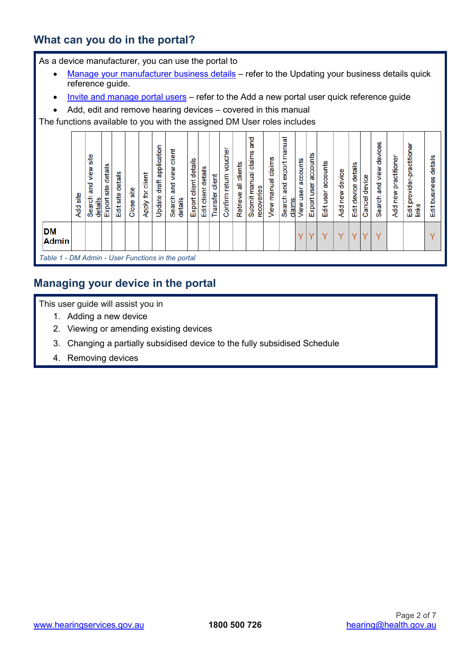## **What can you do in the portal?**

As a device manufacturer, you can use the portal to

- [Manage your manufacturer business details](http://www.hearingservices.gov.au/wps/portal/hso/site/prof/deliveringservices/using%20the%20portal/user_qrg_guides/!ut/p/a1/jY_LDoIwEEV_BT7ATCVAdIkmGF4aF2jtpmmkliZYsBQWfr3Fvcjsbubc3BwggIEoNkrBjGwVa6ZMQpqdg3CdIC_bXE4xiqJjmaex76GDb4HbDICCZX304yL0r58uGPB0sS8EkI6ZeiXVowVc8UaOXEsleq5Heec94KG30TE1d7pWm0l-sE_60oKKQVYWuQKZnZt0v8CMT_cs8TvfbRPhuh_PtCgi/dl5/d5/L2dBISEvZ0FBIS9nQSEh/)  refer to the Updating your business details quick reference guide.
- [Invite and manage portal users](http://www.hearingservices.gov.au/wps/portal/hso/site/prof/deliveringservices/using%20the%20portal/user_qrg_guides/!ut/p/a1/jY_LDoIwEEV_BT7ATCVAdIkmGF4aF2jtpmmkliZYsBQWfr3Fvcjsbubc3BwggIEoNkrBjGwVa6ZMQpqdg3CdIC_bXE4xiqJjmaex76GDb4HbDICCZX304yL0r58uGPB0sS8EkI6ZeiXVowVc8UaOXEsleq5Heec94KG30TE1d7pWm0l-sE_60oKKQVYWuQKZnZt0v8CMT_cs8TvfbRPhuh_PtCgi/dl5/d5/L2dBISEvZ0FBIS9nQSEh/)  refer to the Add a new portal user quick reference guide
- Add, edit and remove hearing devices covered in this manual

The functions available to you with the assigned DM User roles includes



## **Managing your device in the portal**

This user guide will assist you in

- 1. Adding a new device
- 2. Viewing or amending existing devices
- 3. Changing a partially subsidised device to the fully subsidised Schedule
- 4. Removing devices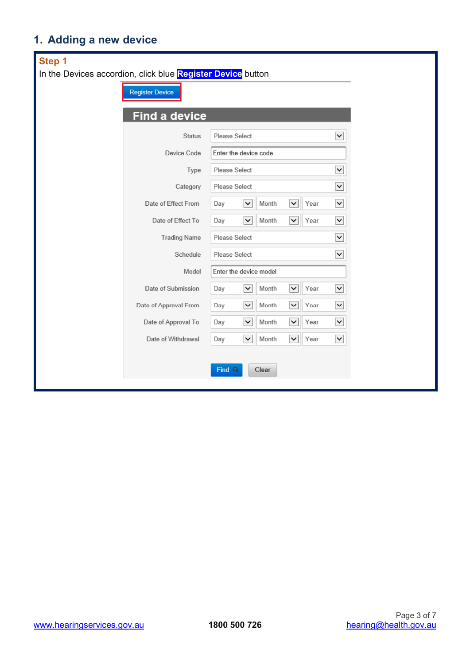# **1. Adding a new device**

| Step 1                                                      |                        |                        |              |       |              |      |                          |  |
|-------------------------------------------------------------|------------------------|------------------------|--------------|-------|--------------|------|--------------------------|--|
| In the Devices accordion, click blue Register Device button |                        |                        |              |       |              |      |                          |  |
|                                                             | <b>Register Device</b> |                        |              |       |              |      |                          |  |
|                                                             | <b>Find a device</b>   |                        |              |       |              |      |                          |  |
|                                                             | <b>Status</b>          | Please Select          |              |       |              |      | $\vert$ $\vert$          |  |
|                                                             | Device Code            | Enter the device code  |              |       |              |      |                          |  |
|                                                             | Type                   | Please Select          |              |       |              |      | $\checkmark$             |  |
|                                                             | Category               | Please Select          |              |       |              |      | $\vee$                   |  |
|                                                             | Date of Effect From    | Day                    | $\check{~}$  | Month | $\check{~}$  | Year | $\vert$ $\vert$          |  |
|                                                             | Date of Effect To      | Day                    | $\checkmark$ | Month | $\check{~}$  | Year | $\vert$ $\vert$          |  |
|                                                             | <b>Trading Name</b>    | Please Select          |              |       |              |      | $\vert$ $\vert$          |  |
|                                                             | Schedule               | Please Select          |              |       |              |      | $\checkmark$             |  |
|                                                             | Model                  | Enter the device model |              |       |              |      |                          |  |
|                                                             | Date of Submission     | Day                    | $\check{~}$  | Month | $\check{~}$  | Year | $\vert$ $\vert$          |  |
|                                                             | Date of Approval From  | Day                    | $\check{ }$  | Month | $\check{~}$  | Year | $\overline{\phantom{0}}$ |  |
|                                                             | Date of Approval To    | Day                    | $\check{ }$  | Month | $\check{~}$  | Year | $\vee$                   |  |
|                                                             | Date of Withdrawal     | Day                    | $\checkmark$ | Month | $\checkmark$ | Year | $\checkmark$             |  |
|                                                             |                        |                        |              |       |              |      |                          |  |
|                                                             |                        | Find <sub>Q</sub>      |              | Clear |              |      |                          |  |
|                                                             |                        |                        |              |       |              |      |                          |  |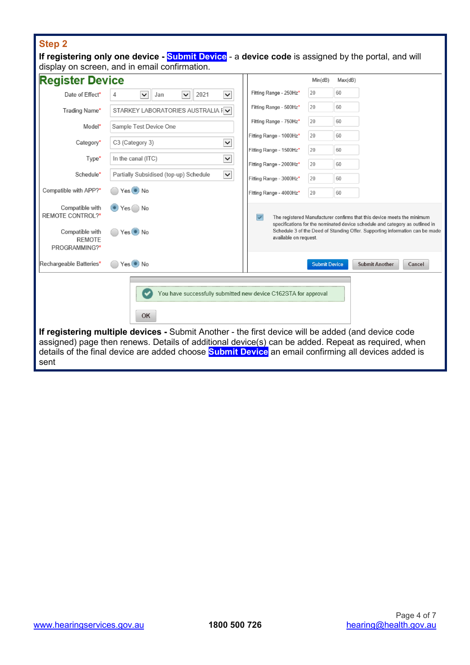# **Step 2**

|                                                   | If registering only one device - Submit Device - a device code is assigned by the portal, and will<br>display on screen, and in email confirmation.                                                                                                                                                                                                                                             |                         |                      |         |                                                                                                                                                         |
|---------------------------------------------------|-------------------------------------------------------------------------------------------------------------------------------------------------------------------------------------------------------------------------------------------------------------------------------------------------------------------------------------------------------------------------------------------------|-------------------------|----------------------|---------|---------------------------------------------------------------------------------------------------------------------------------------------------------|
| <b>Register Device</b>                            |                                                                                                                                                                                                                                                                                                                                                                                                 |                         | Min(dB)              | Max(dB) |                                                                                                                                                         |
| Date of Effect*                                   | $\checkmark$<br>2021<br>$\check{~}$<br>Jan<br>$\checkmark$<br>4                                                                                                                                                                                                                                                                                                                                 | Fitting Range - 250Hz*  | 20                   | 60      |                                                                                                                                                         |
| Trading Name*                                     | STARKEY LABORATORIES AUSTRALIA FV                                                                                                                                                                                                                                                                                                                                                               | Fitting Range - 500Hz*  | 20                   | 60      |                                                                                                                                                         |
| Model*                                            | Sample Test Device One                                                                                                                                                                                                                                                                                                                                                                          | Fitting Range - 750Hz*  | 20                   | 60      |                                                                                                                                                         |
| Category*                                         | $\checkmark$<br>C3 (Category 3)                                                                                                                                                                                                                                                                                                                                                                 | Fitting Range - 1000Hz* | 20                   | 60      |                                                                                                                                                         |
|                                                   |                                                                                                                                                                                                                                                                                                                                                                                                 | Fitting Range - 1500Hz* | 20                   | 60      |                                                                                                                                                         |
| Type*                                             | $\checkmark$<br>In the canal (ITC)                                                                                                                                                                                                                                                                                                                                                              | Fitting Range - 2000Hz* | 20                   | 60      |                                                                                                                                                         |
| Schedule*                                         | $\checkmark$<br>Partially Subsidised (top-up) Schedule                                                                                                                                                                                                                                                                                                                                          | Fitting Range - 3000Hz* | 20                   | 60      |                                                                                                                                                         |
| Compatible with APP?*                             | Yes No                                                                                                                                                                                                                                                                                                                                                                                          | Fitting Range - 4000Hz* | 20                   | 60      |                                                                                                                                                         |
| Compatible with<br>REMOTE CONTROL?*               | $Yes$ No                                                                                                                                                                                                                                                                                                                                                                                        | $\checkmark$            |                      |         | The registered Manufacturer confirms that this device meets the minimum<br>specifications for the nominated device schedule and category as outlined in |
| Compatible with<br><b>REMOTE</b><br>PROGRAMMING?* | Yes No                                                                                                                                                                                                                                                                                                                                                                                          | available on request.   |                      |         | Schedule 3 of the Deed of Standing Offer. Supporting information can be made                                                                            |
| Rechargeable Batteries*                           | Yes No                                                                                                                                                                                                                                                                                                                                                                                          |                         | <b>Submit Device</b> |         | <b>Submit Another</b><br>Cancel                                                                                                                         |
| sent                                              | You have successfully submitted new device C162STA for approval<br>OK<br>If registering multiple devices - Submit Another - the first device will be added (and device code<br>assigned) page then renews. Details of additional device(s) can be added. Repeat as required, when<br>details of the final device are added choose <b>Submit Device</b> an email confirming all devices added is |                         |                      |         |                                                                                                                                                         |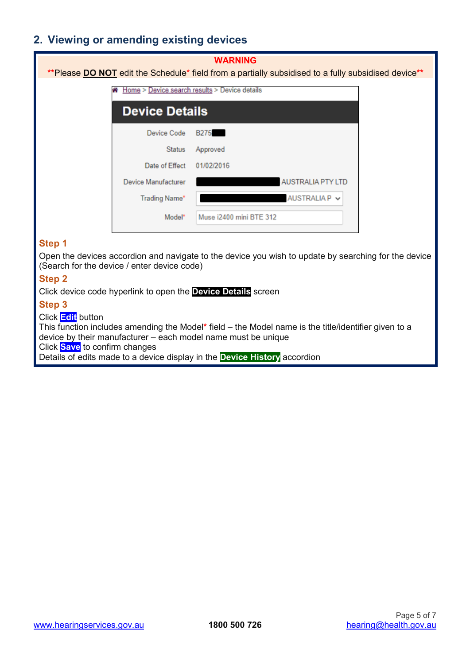# **2. Viewing or amending existing devices**

| <b>WARNING</b><br>**Please <b>DO NOT</b> edit the Schedule* field from a partially subsidised to a fully subsidised device** |                                               |  |  |  |  |  |  |
|------------------------------------------------------------------------------------------------------------------------------|-----------------------------------------------|--|--|--|--|--|--|
| m                                                                                                                            | Home > Device search results > Device details |  |  |  |  |  |  |
| <b>Device Details</b>                                                                                                        |                                               |  |  |  |  |  |  |
| Device Code                                                                                                                  | <b>B275</b>                                   |  |  |  |  |  |  |
| <b>Status</b>                                                                                                                | Approved                                      |  |  |  |  |  |  |
| Date of Effect                                                                                                               | 01/02/2016                                    |  |  |  |  |  |  |
| Device Manufacturer                                                                                                          | <b>AUSTRALIA PTY LTD</b>                      |  |  |  |  |  |  |
| <b>Trading Name*</b>                                                                                                         | AUSTRALIA P V                                 |  |  |  |  |  |  |
| Model*                                                                                                                       | Muse i2400 mini BTE 312                       |  |  |  |  |  |  |

### **Step 1**

Open the devices accordion and navigate to the device you wish to update by searching for the device (Search for the device / enter device code)

### **Step 2**

Click device code hyperlink to open the **Device Details** screen

#### **Step 3**

#### Click **Edit** button

This function includes amending the Model**\*** field – the Model name is the title/identifier given to a device by their manufacturer – each model name must be unique Click **Save** to confirm changes

Details of edits made to a device display in the **Device History** accordion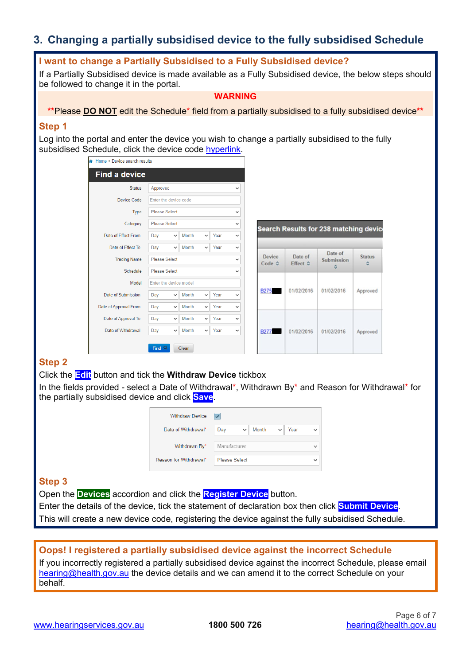# **3. Changing a partially subsidised device to the fully subsidised Schedule**

### **I want to change a Partially Subsidised to a Fully Subsidised device?**

If a Partially Subsidised device is made available as a Fully Subsidised device, the below steps should be followed to change it in the portal.

#### **WARNING**

**\*\***Please **DO NOT** edit the Schedule\* field from a partially subsidised to a fully subsidised device**\*\***

#### **Step 1**

Log into the portal and enter the device you wish to change a partially subsidised to the fully subsidised Schedule, click the device code hyperlink.

| Home > Device search results |                        |              |       |              |      |              |
|------------------------------|------------------------|--------------|-------|--------------|------|--------------|
| <b>Find a device</b>         |                        |              |       |              |      |              |
| <b>Status</b>                | Approved               |              |       |              |      |              |
| <b>Device Code</b>           | Enter the device code  |              |       |              |      |              |
| Type                         | <b>Please Select</b>   |              | ◡     |              |      |              |
| Category                     | Please Select          | v            |       |              |      |              |
| Date of Effect From          | Day                    | $\checkmark$ | Month | $\checkmark$ | Year | v            |
| Date of Effect To            | Day                    | $\checkmark$ | Month | $\checkmark$ | Year | $\checkmark$ |
| <b>Trading Name</b>          | <b>Please Select</b>   | $\checkmark$ |       |              |      |              |
| Schedule                     | <b>Please Select</b>   | $\checkmark$ |       |              |      |              |
| Model                        | Enter the device model |              |       |              |      |              |
| Date of Submission           | Day                    | $\checkmark$ | Month | $\checkmark$ | Year | v            |
| Date of Approval From        | Day                    | $\checkmark$ | Month | $\checkmark$ | Year | v            |
| Date of Approval To          | Day                    | $\checkmark$ | Month | $\checkmark$ | Year | v            |
| Date of Withdrawal           | Day                    | $\checkmark$ | Month | $\checkmark$ | Year | $\checkmark$ |
|                              | Find <sub>Q</sub>      |              | Clear |              |      |              |

| Search Results for 238 matching devic |                     |                       |               |  |  |  |
|---------------------------------------|---------------------|-----------------------|---------------|--|--|--|
| Device<br>Code 0                      | Date of<br>Effect 0 | Date of<br>Submission | <b>Status</b> |  |  |  |
| <b>B275</b>                           | 01/02/2016          | 01/02/2016            | Approved      |  |  |  |
| <b>B277</b>                           | 01/02/2016          | 01/02/2016            | Approved      |  |  |  |

### **Step 2**

Click the **Edit** button and tick the **Withdraw Device** tickbox

In the fields provided - select a Date of Withdrawal\*, Withdrawn By\* and Reason for Withdrawal\* for the partially subsidised device and click **Save**.

| <b>Withdraw Device</b> |                                      |  |  |  |
|------------------------|--------------------------------------|--|--|--|
| Date of Withdrawal*    | Month<br>Year<br>Day<br>$\checkmark$ |  |  |  |
| Withdrawn By*          | Manufacturer                         |  |  |  |
| Reason for Withdrawal* | <b>Please Select</b>                 |  |  |  |

### **Step 3**

Open the **Devices** accordion and click the **Register Device** button.

Enter the details of the device, tick the statement of declaration box then click **Submit Device**. This will create a new device code, registering the device against the fully subsidised Schedule.

## **Oops! I registered a partially subsidised device against the incorrect Schedule**

If you incorrectly registered a partially subsidised device against the incorrect Schedule, please email [hearing@health.gov.au](mailto:hearing@health.gov.au) the device details and we can amend it to the correct Schedule on your behalf.